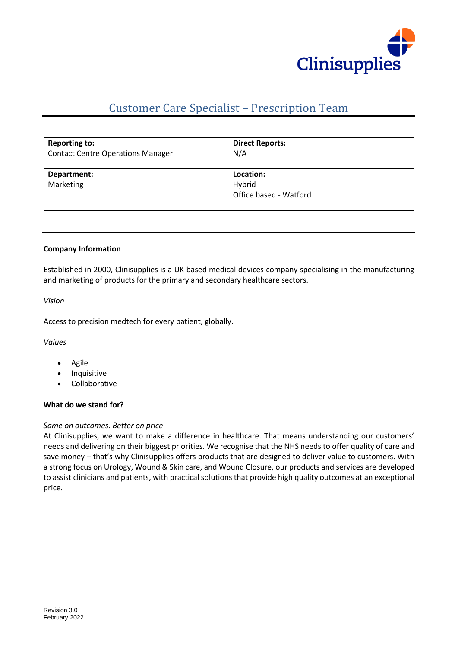

# Customer Care Specialist – Prescription Team

| <b>Reporting to:</b>                     | <b>Direct Reports:</b>                        |
|------------------------------------------|-----------------------------------------------|
| <b>Contact Centre Operations Manager</b> | N/A                                           |
| Department:<br>Marketing                 | Location:<br>Hybrid<br>Office based - Watford |

#### **Company Information**

Established in 2000, Clinisupplies is a UK based medical devices company specialising in the manufacturing and marketing of products for the primary and secondary healthcare sectors.

*Vision*

Access to precision medtech for every patient, globally.

*Values*

- Agile
- **Inquisitive**
- Collaborative

## **What do we stand for?**

#### *Same on outcomes. Better on price*

At Clinisupplies, we want to make a difference in healthcare. That means understanding our customers' needs and delivering on their biggest priorities. We recognise that the NHS needs to offer quality of care and save money – that's why Clinisupplies offers products that are designed to deliver value to customers. With a strong focus on Urology, Wound & Skin care, and Wound Closure, our products and services are developed to assist clinicians and patients, with practical solutions that provide high quality outcomes at an exceptional price.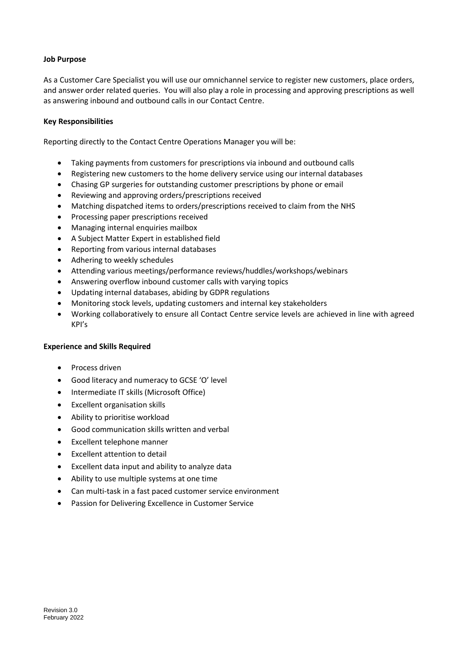## **Job Purpose**

As a Customer Care Specialist you will use our omnichannel service to register new customers, place orders, and answer order related queries. You will also play a role in processing and approving prescriptions as well as answering inbound and outbound calls in our Contact Centre.

## **Key Responsibilities**

Reporting directly to the Contact Centre Operations Manager you will be:

- Taking payments from customers for prescriptions via inbound and outbound calls
- Registering new customers to the home delivery service using our internal databases
- Chasing GP surgeries for outstanding customer prescriptions by phone or email
- Reviewing and approving orders/prescriptions received
- Matching dispatched items to orders/prescriptions received to claim from the NHS
- Processing paper prescriptions received
- Managing internal enquiries mailbox
- A Subject Matter Expert in established field
- Reporting from various internal databases
- Adhering to weekly schedules
- Attending various meetings/performance reviews/huddles/workshops/webinars
- Answering overflow inbound customer calls with varying topics
- Updating internal databases, abiding by GDPR regulations
- Monitoring stock levels, updating customers and internal key stakeholders
- Working collaboratively to ensure all Contact Centre service levels are achieved in line with agreed KPI's

## **Experience and Skills Required**

- Process driven
- Good literacy and numeracy to GCSE 'O' level
- Intermediate IT skills (Microsoft Office)
- Excellent organisation skills
- Ability to prioritise workload
- Good communication skills written and verbal
- Excellent telephone manner
- Excellent attention to detail
- Excellent data input and ability to analyze data
- Ability to use multiple systems at one time
- Can multi-task in a fast paced customer service environment
- Passion for Delivering Excellence in Customer Service